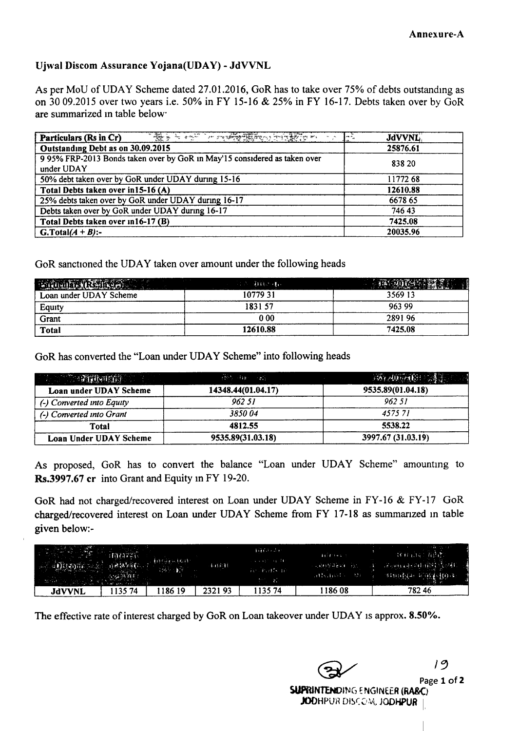## Ujwal Discom Assurance Yojana(UDAY) - JdVVNL

As per MoU of UDAY Scheme dated 27.01.2016, GoR has to take over 75% of debts outstanding as on 3009.2015 over two years i.e. 50% in FY 15-16 & 25% in FY 16-17. Debts taken over by GoR are summarized in table below

| The first state of the state of the state of the state of the state of the state of the state of the state of the state of the state of the state of the state of the state of the state of the state of the state of the stat<br>Particulars (Rs in Cr)<br>上空 | <b>JdVVNL</b> |
|----------------------------------------------------------------------------------------------------------------------------------------------------------------------------------------------------------------------------------------------------------------|---------------|
| Outstanding Debt as on 30.09.2015                                                                                                                                                                                                                              | 25876.61      |
| 9 95% FRP-2013 Bonds taken over by GoR in May'15 considered as taken over<br>under UDAY                                                                                                                                                                        | 838 20        |
| 50% debt taken over by GoR under UDAY during 15-16                                                                                                                                                                                                             | 11772 68      |
| Total Debts taken over in15-16 (A)                                                                                                                                                                                                                             | 12610.88      |
| 25% debts taken over by GoR under UDAY during 16-17                                                                                                                                                                                                            | 6678 65       |
| Debts taken over by GoR under UDAY during 16-17                                                                                                                                                                                                                | 74643         |
| Total Debts taken over 1n16-17 (B)                                                                                                                                                                                                                             | 7425.08       |
| G.Total $(A + B)$ :-                                                                                                                                                                                                                                           | 20035.96      |

GoR sanctioned the UDAY taken over amount under the following heads

| <b>Education (RS-dead)</b> | <b>「三、「自殺」を</b> |         |
|----------------------------|-----------------|---------|
| Loan under UDAY Scheme     | 1077931         | 3569 13 |
|                            | 1831 57         | 963 99  |
| Equity<br>Grant            | 000             | 289196  |
| Total                      | 12610.88        | 7425.08 |

GoR has converted the "Loan under UDAY Scheme" into following heads

| <b>CONSTRUCTION OF A</b>  | <b>开始 HB 2017</b>  | <b>网络如边眼 清江</b>    |
|---------------------------|--------------------|--------------------|
| Loan under UDAY Scheme    | 14348.44(01.04.17) | 9535.89(01.04.18)  |
| (-) Converted into Equity | 962.51             | 962.51             |
| (-) Converted into Grant  | 3850.04            | 457571             |
| Total                     | 4812.55            | 5538.22            |
| Loan Under UDAY Scheme    | 9535.89(31.03.18)  | 3997.67 (31.03.19) |

As proposed, GoR has to convert the balance "Loan under UDAY Scheme" amounting to Rs.3997.67 cr into Grant and Equity in FY 19-20.

GoR had not charged/recovered interest on Loan under UDAY Scheme in FY-16 & FY-17 GoR charged/recovered interest on Loan under UDAY Scheme from FY 17-18 as summanzed In table given below:-

| Discourse network | m<br>计磁热窗口<br>والراضيات بعتق اطهره المرا | 住宅には、    | $\frac{1}{2}$ ( $\frac{1}{2}$ ( $\frac{1}{2}$ | <b>SALES STATE</b><br>Brownik B<br><b>Service State</b> | 31.11384<br>$\cdots, \sqrt{t\lambda^2t^2\lambda^2t^2\cdot 1} \cdots \cdot \lambda^2.$<br><b>Called Table 1983</b> | (有样的) 有意愿。<br><b>WE WANTED TO HAPPEN COMPANY</b><br>$\frac{1}{2}$ sinuidad a que $(0.1)$ |
|-------------------|------------------------------------------|----------|-----------------------------------------------|---------------------------------------------------------|-------------------------------------------------------------------------------------------------------------------|------------------------------------------------------------------------------------------|
| JdVVNL            | 13574                                    | . 186 19 | 232193                                        | l <b>135 74</b>                                         | 186 08                                                                                                            | 78246                                                                                    |

The effective rate of interest charged by GoR on Loan takeover under UDAY is approx. 8.50%.

*~/ IC)* Page 1 of 2 SUPRINTENDING ENGINEER (RA&C) JODHPUR DISCOM, JODHPUR